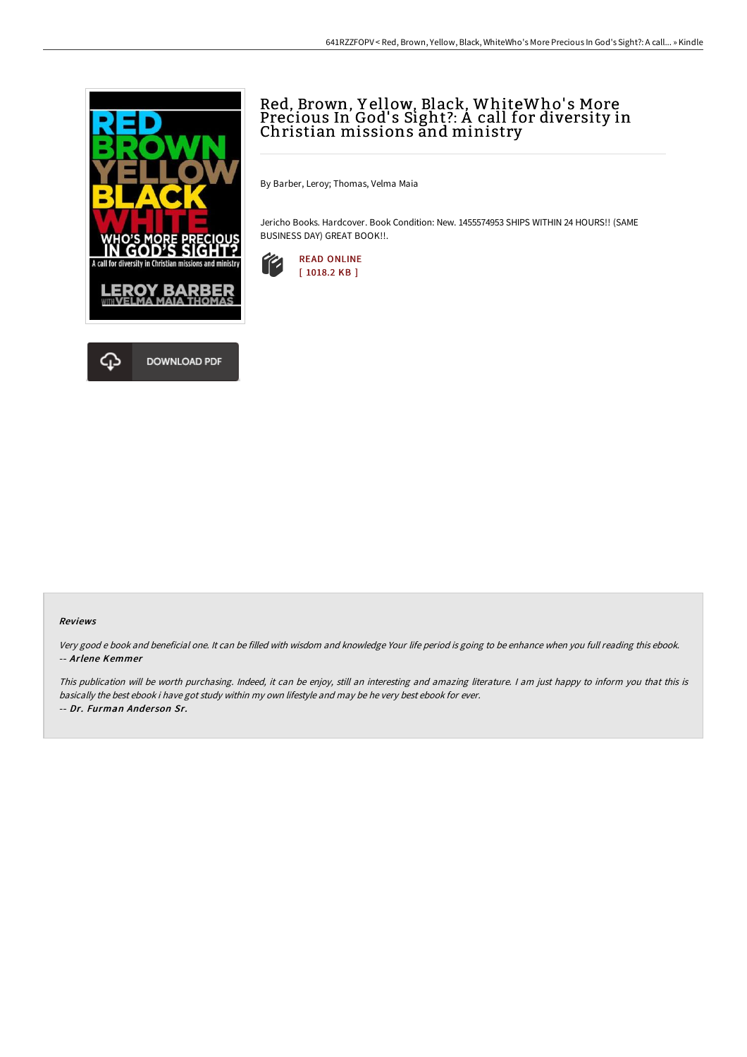

## Red, Brown, Y ellow, Black, WhiteWho' s More Precious In God' s Sight?: A call for diversity in Christian missions and ministry

By Barber, Leroy; Thomas, Velma Maia

Jericho Books. Hardcover. Book Condition: New. 1455574953 SHIPS WITHIN 24 HOURS!! (SAME BUSINESS DAY) GREAT BOOK!!.



## Reviews

Very good <sup>e</sup> book and beneficial one. It can be filled with wisdom and knowledge Your life period is going to be enhance when you full reading this ebook. -- Arlene Kemmer

This publication will be worth purchasing. Indeed, it can be enjoy, still an interesting and amazing literature. <sup>I</sup> am just happy to inform you that this is basically the best ebook i have got study within my own lifestyle and may be he very best ebook for ever. -- Dr. Furman Ander son Sr.